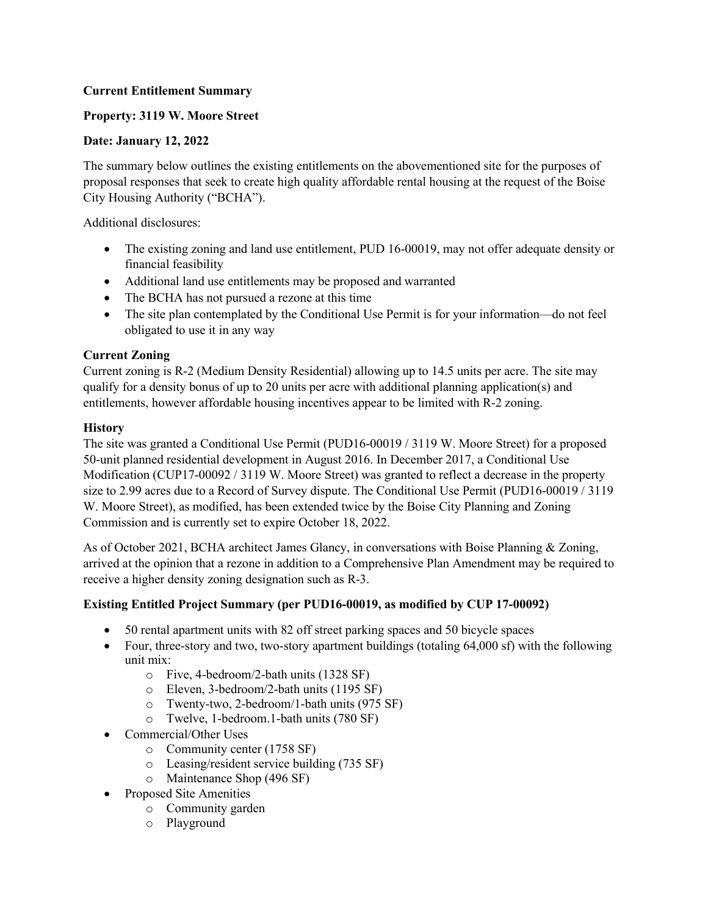# **Current Entitlement Summary**

# **Property: 3119 W. Moore Street**

### **Date: January 12, 2022**

The summary below outlines the existing entitlements on the abovementioned site for the purposes of proposal responses that seek to create high quality affordable rental housing at the request of the Boise City Housing Authority ("BCHA").

Additional disclosures:

- The existing zoning and land use entitlement, PUD 16-00019, may not offer adequate density or financial feasibility
- Additional land use entitlements may be proposed and warranted
- The BCHA has not pursued a rezone at this time
- The site plan contemplated by the Conditional Use Permit is for your information—do not feel obligated to use it in any way

#### **Current Zoning**

Current zoning is R-2 (Medium Density Residential) allowing up to 14.5 units per acre. The site may qualify for a density bonus of up to 20 units per acre with additional planning application(s) and entitlements, however affordable housing incentives appear to be limited with R-2 zoning.

#### **History**

The site was granted a Conditional Use Permit (PUD16-00019 / 3119 W. Moore Street) for a proposed 50-unit planned residential development in August 2016. In December 2017, a Conditional Use Modification (CUP17-00092 / 3119 W. Moore Street) was granted to reflect a decrease in the property size to 2.99 acres due to a Record of Survey dispute. The Conditional Use Permit (PUD16-00019 / 3119 W. Moore Street), as modified, has been extended twice by the Boise City Planning and Zoning Commission and is currently set to expire October 18, 2022.

As of October 2021, BCHA architect James Glancy, in conversations with Boise Planning & Zoning, arrived at the opinion that a rezone in addition to a Comprehensive Plan Amendment may be required to receive a higher density zoning designation such as R-3.

# **Existing Entitled Project Summary (per PUD16-00019, as modified by CUP 17-00092)**

- 50 rental apartment units with 82 off street parking spaces and 50 bicycle spaces
- Four, three-story and two, two-story apartment buildings (totaling 64,000 sf) with the following unit mix:
	- o Five, 4-bedroom/2-bath units (1328 SF)
	- o Eleven, 3-bedroom/2-bath units (1195 SF)
	- o Twenty-two, 2-bedroom/1-bath units (975 SF)
	- o Twelve, 1-bedroom.1-bath units (780 SF)
- Commercial/Other Uses
	- o Community center (1758 SF)
	- o Leasing/resident service building (735 SF)
	- o Maintenance Shop (496 SF)
- Proposed Site Amenities
	- o Community garden
	- o Playground